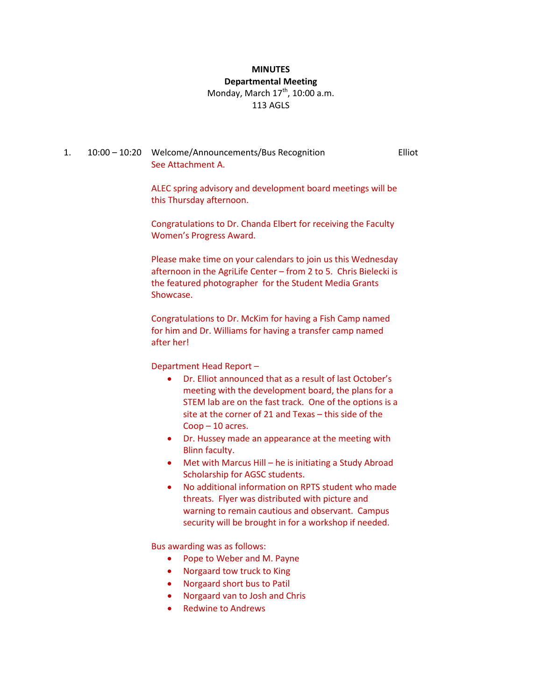#### **MINUTES Departmental Meeting**

# Monday, March  $17<sup>th</sup>$ , 10:00 a.m. 113 AGLS

#### 1. 10:00 – 10:20 Welcome/Announcements/Bus Recognition Elliot See Attachment A.

ALEC spring advisory and development board meetings will be this Thursday afternoon.

Congratulations to Dr. Chanda Elbert for receiving the Faculty Women's Progress Award.

Please make time on your calendars to join us this Wednesday afternoon in the AgriLife Center – from 2 to 5. Chris Bielecki is the featured photographer for the Student Media Grants Showcase.

Congratulations to Dr. McKim for having a Fish Camp named for him and Dr. Williams for having a transfer camp named after her!

Department Head Report –

- Dr. Elliot announced that as a result of last October's meeting with the development board, the plans for a STEM lab are on the fast track. One of the options is a site at the corner of 21 and Texas – this side of the Coop – 10 acres.
- Dr. Hussey made an appearance at the meeting with Blinn faculty.
- Met with Marcus Hill he is initiating a Study Abroad Scholarship for AGSC students.
- No additional information on RPTS student who made threats. Flyer was distributed with picture and warning to remain cautious and observant. Campus security will be brought in for a workshop if needed.

Bus awarding was as follows:

- Pope to Weber and M. Payne
- Norgaard tow truck to King
- Norgaard short bus to Patil
- Norgaard van to Josh and Chris
- Redwine to Andrews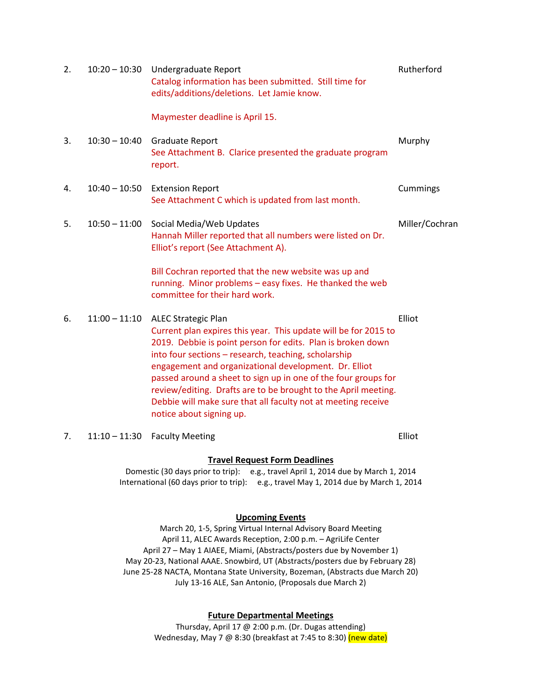| 2. | $10:20 - 10:30$ | Undergraduate Report<br>Catalog information has been submitted. Still time for<br>edits/additions/deletions. Let Jamie know.                                                                                                                                                                                                                                                                                                                                                                                   | Rutherford     |
|----|-----------------|----------------------------------------------------------------------------------------------------------------------------------------------------------------------------------------------------------------------------------------------------------------------------------------------------------------------------------------------------------------------------------------------------------------------------------------------------------------------------------------------------------------|----------------|
|    |                 | Maymester deadline is April 15.                                                                                                                                                                                                                                                                                                                                                                                                                                                                                |                |
| 3. | $10:30 - 10:40$ | Graduate Report<br>See Attachment B. Clarice presented the graduate program<br>report.                                                                                                                                                                                                                                                                                                                                                                                                                         | Murphy         |
| 4. | $10:40 - 10:50$ | <b>Extension Report</b><br>See Attachment C which is updated from last month.                                                                                                                                                                                                                                                                                                                                                                                                                                  | Cummings       |
| 5. | $10:50 - 11:00$ | Social Media/Web Updates<br>Hannah Miller reported that all numbers were listed on Dr.<br>Elliot's report (See Attachment A).                                                                                                                                                                                                                                                                                                                                                                                  | Miller/Cochran |
|    |                 | Bill Cochran reported that the new website was up and<br>running. Minor problems - easy fixes. He thanked the web<br>committee for their hard work.                                                                                                                                                                                                                                                                                                                                                            |                |
| 6. | $11:00 - 11:10$ | <b>ALEC Strategic Plan</b><br>Current plan expires this year. This update will be for 2015 to<br>2019. Debbie is point person for edits. Plan is broken down<br>into four sections - research, teaching, scholarship<br>engagement and organizational development. Dr. Elliot<br>passed around a sheet to sign up in one of the four groups for<br>review/editing. Drafts are to be brought to the April meeting.<br>Debbie will make sure that all faculty not at meeting receive<br>notice about signing up. | Elliot         |
| 7. | $11:10 - 11:30$ | <b>Faculty Meeting</b>                                                                                                                                                                                                                                                                                                                                                                                                                                                                                         | Elliot         |

### **Travel Request Form Deadlines**

Domestic (30 days prior to trip): e.g., travel April 1, 2014 due by March 1, 2014 International (60 days prior to trip): e.g., travel May 1, 2014 due by March 1, 2014

#### **Upcoming Events**

March 20, 1-5, Spring Virtual Internal Advisory Board Meeting April 11, ALEC Awards Reception, 2:00 p.m. – AgriLife Center April 27 – May 1 AIAEE, Miami, (Abstracts/posters due by November 1) May 20-23, National AAAE. Snowbird, UT (Abstracts/posters due by February 28) June 25-28 NACTA, Montana State University, Bozeman, (Abstracts due March 20) July 13-16 ALE, San Antonio, (Proposals due March 2)

#### **Future Departmental Meetings**

Thursday, April 17 @ 2:00 p.m. (Dr. Dugas attending) Wednesday, May 7 @ 8:30 (breakfast at 7:45 to 8:30) (new date)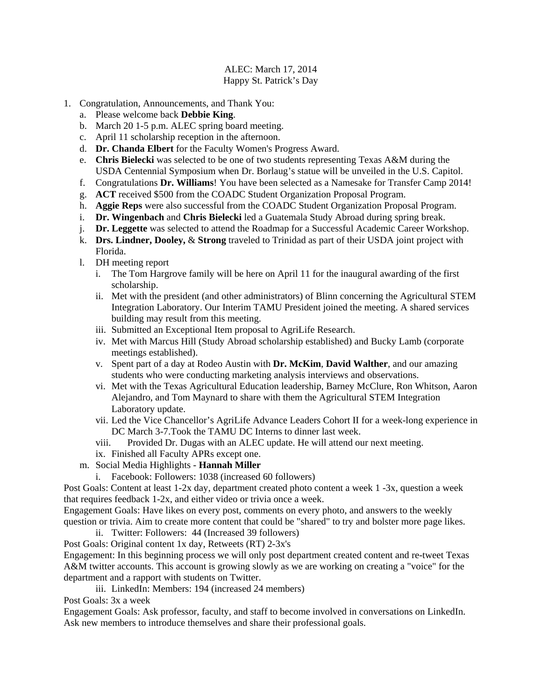### ALEC: March 17, 2014 Happy St. Patrick's Day

- 1. Congratulation, Announcements, and Thank You:
	- a. Please welcome back **Debbie King**.
	- b. March 20 1-5 p.m. ALEC spring board meeting.
	- c. April 11 scholarship reception in the afternoon.
	- d. **Dr. Chanda Elbert** for the Faculty Women's Progress Award.
	- e. **Chris Bielecki** was selected to be one of two students representing Texas A&M during the USDA Centennial Symposium when Dr. Borlaug's statue will be unveiled in the U.S. Capitol.
	- f. Congratulations **Dr. Williams**! You have been selected as a Namesake for Transfer Camp 2014!
	- g. **ACT** received \$500 from the COADC Student Organization Proposal Program.
	- h. **Aggie Reps** were also successful from the COADC Student Organization Proposal Program.
	- i. **Dr. Wingenbach** and **Chris Bielecki** led a Guatemala Study Abroad during spring break.
	- j. **Dr. Leggette** was selected to attend the Roadmap for a Successful Academic Career Workshop.
	- k. **Drs. Lindner, Dooley,** & **Strong** traveled to Trinidad as part of their USDA joint project with Florida.
	- l. DH meeting report
		- i. The Tom Hargrove family will be here on April 11 for the inaugural awarding of the first scholarship.
		- ii. Met with the president (and other administrators) of Blinn concerning the Agricultural STEM Integration Laboratory. Our Interim TAMU President joined the meeting. A shared services building may result from this meeting.
		- iii. Submitted an Exceptional Item proposal to AgriLife Research.
		- iv. Met with Marcus Hill (Study Abroad scholarship established) and Bucky Lamb (corporate meetings established).
		- v. Spent part of a day at Rodeo Austin with **Dr. McKim**, **David Walther**, and our amazing students who were conducting marketing analysis interviews and observations.
		- vi. Met with the Texas Agricultural Education leadership, Barney McClure, Ron Whitson, Aaron Alejandro, and Tom Maynard to share with them the Agricultural STEM Integration Laboratory update.
		- vii. Led the Vice Chancellor's AgriLife Advance Leaders Cohort II for a week-long experience in DC March 3-7.Took the TAMU DC Interns to dinner last week.
		- viii. Provided Dr. Dugas with an ALEC update. He will attend our next meeting.
		- ix. Finished all Faculty APRs except one.
	- m. Social Media Highlights **Hannah Miller**
		- i. Facebook: Followers: 1038 (increased 60 followers)

Post Goals: Content at least 1-2x day, department created photo content a week 1 -3x, question a week that requires feedback 1-2x, and either video or trivia once a week.

Engagement Goals: Have likes on every post, comments on every photo, and answers to the weekly question or trivia. Aim to create more content that could be "shared" to try and bolster more page likes.

- ii. Twitter: Followers: 44 (Increased 39 followers)
- Post Goals: Original content 1x day, Retweets (RT) 2-3x's

Engagement: In this beginning process we will only post department created content and re-tweet Texas A&M twitter accounts. This account is growing slowly as we are working on creating a "voice" for the department and a rapport with students on Twitter.

iii. LinkedIn: Members: 194 (increased 24 members)

Post Goals: 3x a week

Engagement Goals: Ask professor, faculty, and staff to become involved in conversations on LinkedIn. Ask new members to introduce themselves and share their professional goals.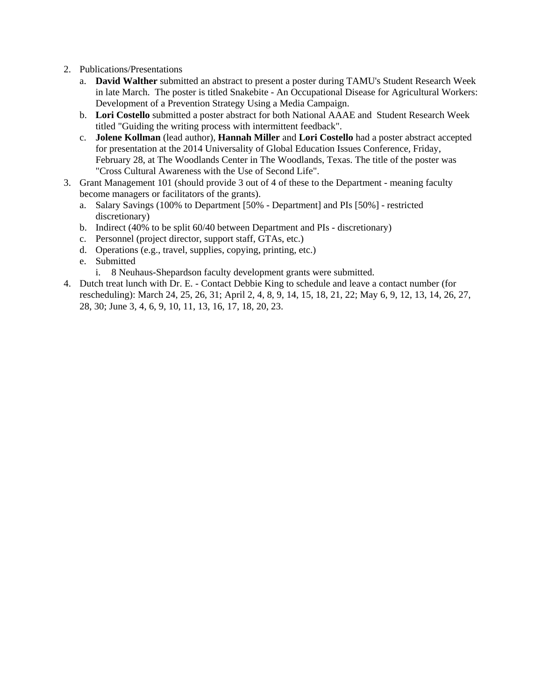- 2. Publications/Presentations
	- a. **David Walther** submitted an abstract to present a poster during TAMU's Student Research Week in late March. The poster is titled Snakebite - An Occupational Disease for Agricultural Workers: Development of a Prevention Strategy Using a Media Campaign.
	- b. **Lori Costello** submitted a poster abstract for both National AAAE and Student Research Week titled "Guiding the writing process with intermittent feedback".
	- c. **Jolene Kollman** (lead author), **Hannah Miller** and **Lori Costello** had a poster abstract accepted for presentation at the 2014 Universality of Global Education Issues Conference, Friday, February 28, at The Woodlands Center in The Woodlands, Texas. The title of the poster was "Cross Cultural Awareness with the Use of Second Life".
- 3. Grant Management 101 (should provide 3 out of 4 of these to the Department meaning faculty become managers or facilitators of the grants).
	- a. Salary Savings (100% to Department [50% Department] and PIs [50%] restricted discretionary)
	- b. Indirect (40% to be split 60/40 between Department and PIs discretionary)
	- c. Personnel (project director, support staff, GTAs, etc.)
	- d. Operations (e.g., travel, supplies, copying, printing, etc.)
	- e. Submitted
		- i. 8 Neuhaus-Shepardson faculty development grants were submitted.
- 4. Dutch treat lunch with Dr. E. Contact Debbie King to schedule and leave a contact number (for rescheduling): March 24, 25, 26, 31; April 2, 4, 8, 9, 14, 15, 18, 21, 22; May 6, 9, 12, 13, 14, 26, 27, 28, 30; June 3, 4, 6, 9, 10, 11, 13, 16, 17, 18, 20, 23.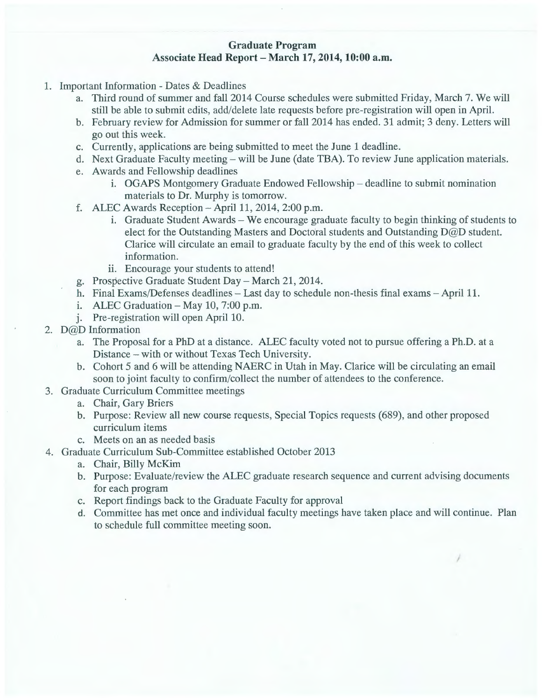# **Graduate Program**  Associate **Head Report- March 17, 2014, 10:00 a.m.**

- 1. Important Information Dates & Deadlines
	- a. Third round of summer and fall 2014 Course schedules were submitted Friday, March 7. We will still be able to submit edits, add/delete late requests before pre-registration will open in April.
	- b. February review for Admission for summer or fall 2014 has ended. 31 admit; 3 deny. Letters will go out this week.
	- c. Currently, applications are being submitted to meet the June 1 deadline.
	- d. Next Graduate Faculty meeting will be June (date TBA). To review June application materials.
	- e. Awards and Fellowship deadlines
		- i. OGAPS Montgomery Graduate Endowed Fellowship deadline to submit nomination materials to Dr. Murphy is tomorrow.
	- f. ALEC Awards Reception  $-$  April 11, 2014, 2:00 p.m.
		- 1. Graduate Student Awards We encourage graduate faculty to begin thinking of students to elect for the Outstanding Masters and Doctoral students and Outstanding D@D student. Clarice will circulate an email to graduate faculty by the end of this week to collect information.
		- ii. Encourage your students to attend!
	- g. Prospective Graduate Student Day- March 21, 2014.
	- h. Final Exams/Defenses deadlines Last day to schedule non-thesis final exams April 11.
	- $1.$  ALEC Graduation May 10, 7:00 p.m.
	- j. Pre-registration will open April 10.
- 2. D@D Information
	- a. The Proposal for a PhD at a distance. ALEC faculty voted not to pursue offering a Ph.D. at a Distance- with or without Texas Tech University.
	- b. Cohort 5 and 6 will be attending NAERC in Utah in May. Clarice will be circulating an email soon to joint faculty to confirm/collect the number of attendees to the conference.
- 3. Graduate Curriculum Committee meetings
	- a. Chair, Gary Briers
	- b. Purpose: Review all new course requests, Special Topics requests (689), and other proposed curriculum items
	- c. Meets on an as needed basis
- 4. Graduate Curriculum Sub-Committee established October 2013
	- a. Chair, Billy McKim
	- b. Purpose: Evaluate/review the ALEC graduate research sequence and current advising documents for each program
	- c. Report findings back to the Graduate Faculty for approval
	- d. Committee has met once and individual faculty meetings have taken place and will continue. Plan to schedule full committee meeting soon.

I